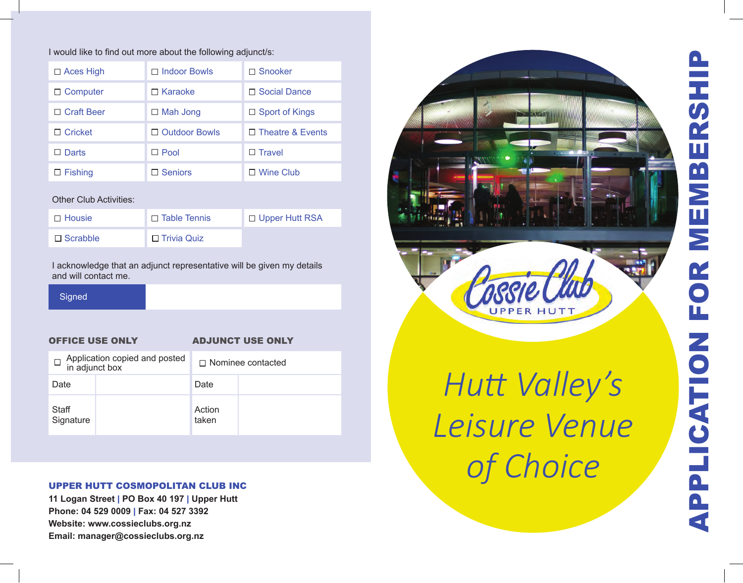# I would like to find out more about the following adjunct/s:

| $\Box$ Aces High  | $\Box$ Indoor Bowls  | □ Snooker               |
|-------------------|----------------------|-------------------------|
| $\Box$ Computer   | $\Box$ Karaoke       | □ Social Dance          |
| $\Box$ Craft Beer | $\Box$ Mah Jong      | $\Box$ Sport of Kings   |
| $\Box$ Cricket    | $\Box$ Outdoor Bowls | $\Box$ Theatre & Events |
| $\square$ Darts   | $\Box$ Pool          | $\Box$ Travel           |
| $\Box$ Fishing    | $\square$ Seniors    | $\Box$ Wine Club        |

### Other Club Activities:

| $\Box$ Housie   | $\Box$ Table Tennis | □ Upper Hutt RSA |
|-----------------|---------------------|------------------|
| $\Box$ Scrabble | □ Trivia Quiz       |                  |

I acknowledge that an adjunct representative will be given my details and will contact me.

**Signed** 

# OFFICE USE ONLY ADJUNCT USE ONLY

| Application copied and posted<br>in adjunct box |  | $\Box$ Nominee contacted |  |
|-------------------------------------------------|--|--------------------------|--|
| Date                                            |  | Date                     |  |
| Staff<br>Signature                              |  | Action<br>taken          |  |

# UPPER HUTT COSMOPOLITAN CLUB INC

**11 Logan Street** | **PO Box 40 197** | **Upper Hutt Phone: 04 529 0009**  | **Fax: 04 527 3392 Website: www.cossieclubs.org.nz Email: manager@cossieclubs.org.nz**





*Hutt Valley's Leisure Venue of Choice*